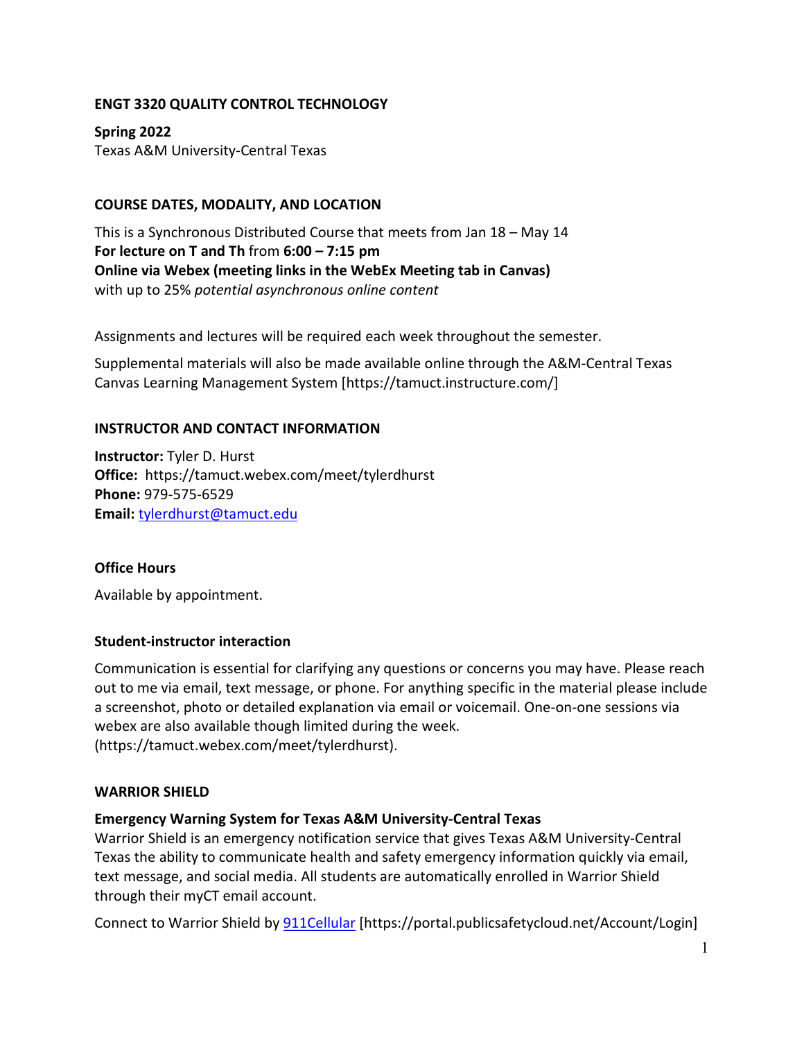### **ENGT 3320 QUALITY CONTROL TECHNOLOGY**

**Spring 2022** Texas A&M University-Central Texas

### **COURSE DATES, MODALITY, AND LOCATION**

This is a Synchronous Distributed Course that meets from Jan 18 – May 14 **For lecture on T and Th** from **6:00 – 7:15 pm Online via Webex (meeting links in the WebEx Meeting tab in Canvas)** with up to 25% *potential asynchronous online content* 

Assignments and lectures will be required each week throughout the semester.

Supplemental materials will also be made available online through the A&M-Central Texas Canvas Learning Management System [https://tamuct.instructure.com/]

### **INSTRUCTOR AND CONTACT INFORMATION**

**Instructor:** Tyler D. Hurst **Office:** https://tamuct.webex.com/meet/tylerdhurst **Phone:** 979-575-6529 **Email:** [tylerdhurst@tamuct.edu](mailto:tylerdhurst@tamuct.edu)

#### **Office Hours**

Available by appointment.

#### **Student-instructor interaction**

Communication is essential for clarifying any questions or concerns you may have. Please reach out to me via email, text message, or phone. For anything specific in the material please include a screenshot, photo or detailed explanation via email or voicemail. One-on-one sessions via webex are also available though limited during the week. (https://tamuct.webex.com/meet/tylerdhurst).

#### **WARRIOR SHIELD**

#### **Emergency Warning System for Texas A&M University-Central Texas**

Warrior Shield is an emergency notification service that gives Texas A&M University-Central Texas the ability to communicate health and safety emergency information quickly via email, text message, and social media. All students are automatically enrolled in Warrior Shield through their myCT email account.

Connect to Warrior Shield b[y 911Cellular](https://portal.publicsafetycloud.net/Texas-AM-Central/alert-management) [https://portal.publicsafetycloud.net/Account/Login]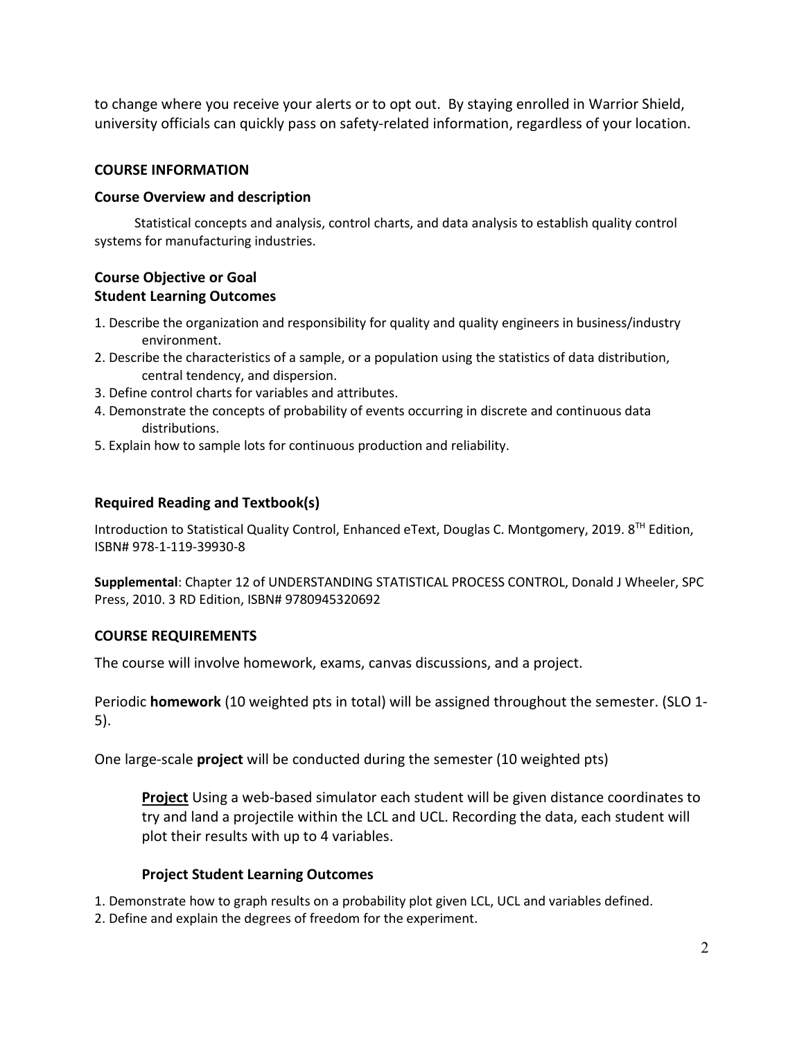to change where you receive your alerts or to opt out. By staying enrolled in Warrior Shield, university officials can quickly pass on safety-related information, regardless of your location.

#### **COURSE INFORMATION**

#### **Course Overview and description**

Statistical concepts and analysis, control charts, and data analysis to establish quality control systems for manufacturing industries.

### **Course Objective or Goal Student Learning Outcomes**

- 1. Describe the organization and responsibility for quality and quality engineers in business/industry environment.
- 2. Describe the characteristics of a sample, or a population using the statistics of data distribution, central tendency, and dispersion.
- 3. Define control charts for variables and attributes.
- 4. Demonstrate the concepts of probability of events occurring in discrete and continuous data distributions.
- 5. Explain how to sample lots for continuous production and reliability.

#### **Required Reading and Textbook(s)**

Introduction to Statistical Quality Control, Enhanced eText, Douglas C. Montgomery, 2019.  $8^{TH}$  Edition, ISBN# 978-1-119-39930-8

**Supplemental**: Chapter 12 of UNDERSTANDING STATISTICAL PROCESS CONTROL, Donald J Wheeler, SPC Press, 2010. 3 RD Edition, ISBN# 9780945320692

#### **COURSE REQUIREMENTS**

The course will involve homework, exams, canvas discussions, and a project.

Periodic **homework** (10 weighted pts in total) will be assigned throughout the semester. (SLO 1- 5).

One large-scale **project** will be conducted during the semester (10 weighted pts)

**Project** Using a web-based simulator each student will be given distance coordinates to try and land a projectile within the LCL and UCL. Recording the data, each student will plot their results with up to 4 variables.

#### **Project Student Learning Outcomes**

1. Demonstrate how to graph results on a probability plot given LCL, UCL and variables defined.

2. Define and explain the degrees of freedom for the experiment.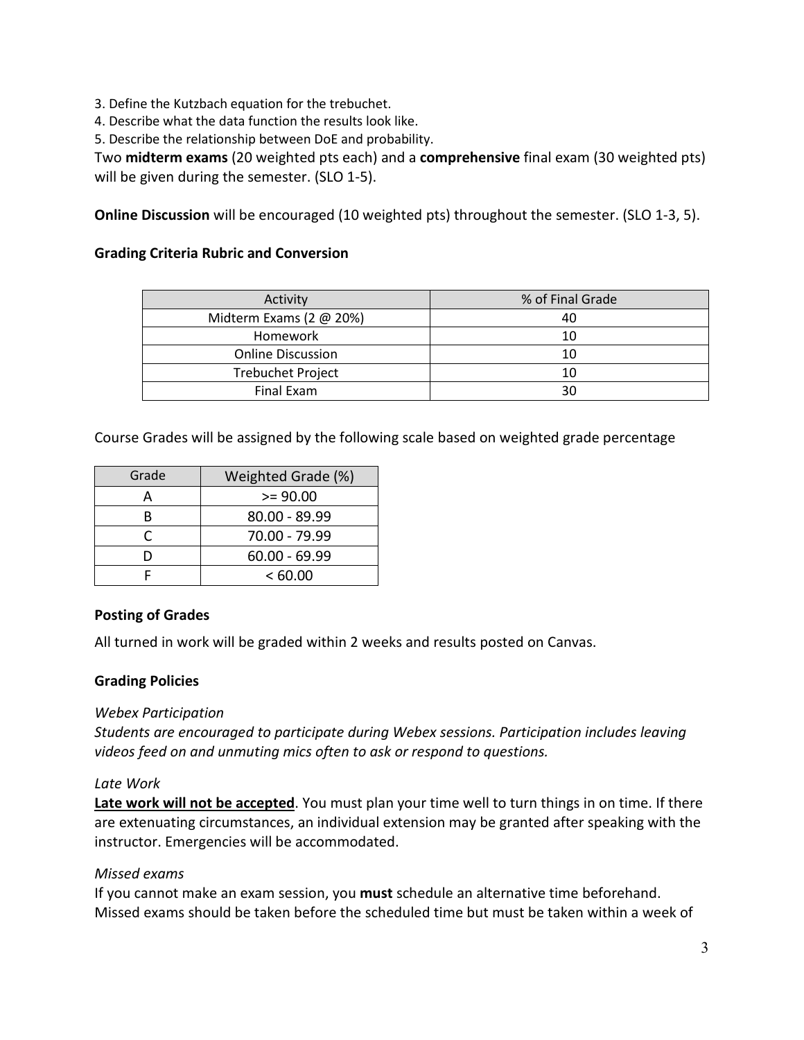3. Define the Kutzbach equation for the trebuchet.

4. Describe what the data function the results look like.

5. Describe the relationship between DoE and probability.

Two **midterm exams** (20 weighted pts each) and a **comprehensive** final exam (30 weighted pts) will be given during the semester. (SLO 1-5).

**Online Discussion** will be encouraged (10 weighted pts) throughout the semester. (SLO 1-3, 5).

#### **Grading Criteria Rubric and Conversion**

| Activity                 | % of Final Grade |
|--------------------------|------------------|
| Midterm Exams (2 @ 20%)  | 40               |
| Homework                 | 10               |
| <b>Online Discussion</b> | 10               |
| <b>Trebuchet Project</b> | 10               |
| Final Exam               | 30               |

Course Grades will be assigned by the following scale based on weighted grade percentage

| Grade | Weighted Grade (%) |  |  |
|-------|--------------------|--|--|
|       | $>= 90.00$         |  |  |
| R     | 80.00 - 89.99      |  |  |
| r     | 70.00 - 79.99      |  |  |
|       | $60.00 - 69.99$    |  |  |
|       | <60.00             |  |  |

#### **Posting of Grades**

All turned in work will be graded within 2 weeks and results posted on Canvas.

#### **Grading Policies**

*Webex Participation* 

*Students are encouraged to participate during Webex sessions. Participation includes leaving videos feed on and unmuting mics often to ask or respond to questions.*

#### *Late Work*

**Late work will not be accepted**. You must plan your time well to turn things in on time. If there are extenuating circumstances, an individual extension may be granted after speaking with the instructor. Emergencies will be accommodated.

#### *Missed exams*

If you cannot make an exam session, you **must** schedule an alternative time beforehand. Missed exams should be taken before the scheduled time but must be taken within a week of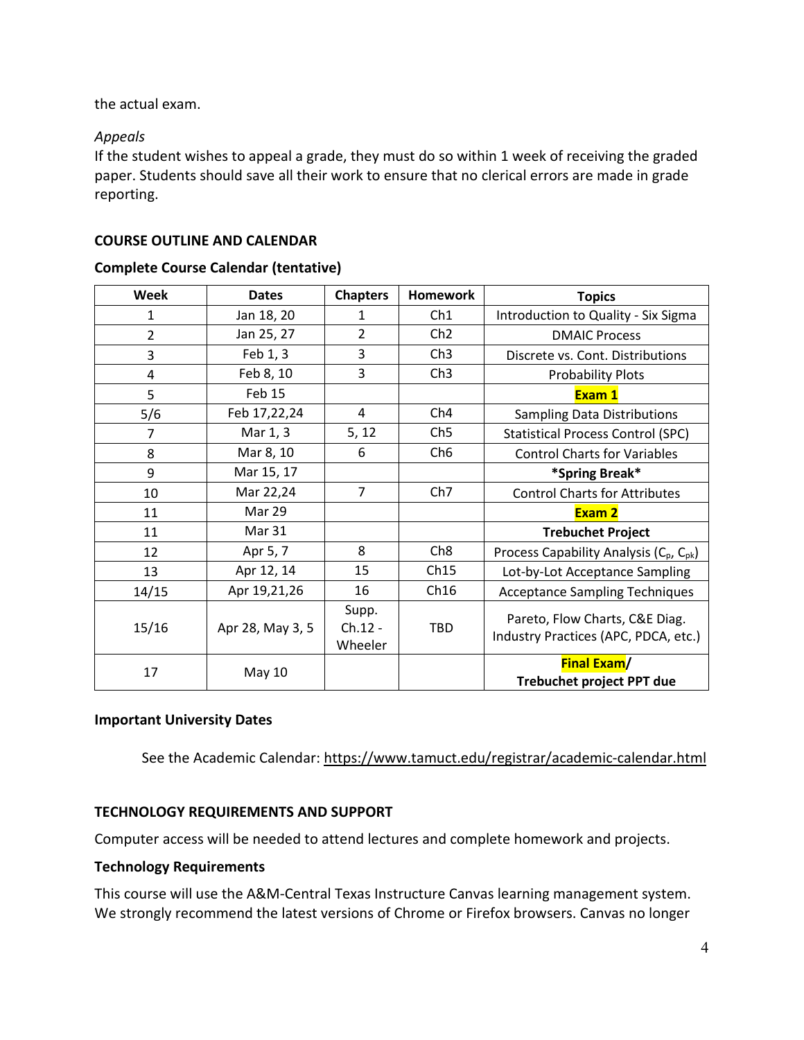the actual exam.

## *Appeals*

If the student wishes to appeal a grade, they must do so within 1 week of receiving the graded paper. Students should save all their work to ensure that no clerical errors are made in grade reporting.

### **COURSE OUTLINE AND CALENDAR**

### **Complete Course Calendar (tentative)**

| Week           | <b>Dates</b>     | <b>Chapters</b>             | <b>Homework</b> | <b>Topics</b>                                                          |  |
|----------------|------------------|-----------------------------|-----------------|------------------------------------------------------------------------|--|
| 1              | Jan 18, 20       | 1                           | Ch1             | Introduction to Quality - Six Sigma                                    |  |
| $\overline{2}$ | Jan 25, 27       | $\overline{2}$              | Ch <sub>2</sub> | <b>DMAIC Process</b>                                                   |  |
| 3              | Feb 1, 3         | 3                           | Ch3             | Discrete vs. Cont. Distributions                                       |  |
| 4              | Feb 8, 10        | 3                           | Ch3             | <b>Probability Plots</b>                                               |  |
| 5              | Feb 15           |                             |                 | Exam 1                                                                 |  |
| 5/6            | Feb 17,22,24     | 4                           | Ch <sub>4</sub> | <b>Sampling Data Distributions</b>                                     |  |
| $\overline{7}$ | Mar 1, 3         | 5, 12                       | Ch5             | <b>Statistical Process Control (SPC)</b>                               |  |
| 8              | Mar 8, 10        | 6                           | Ch <sub>6</sub> | <b>Control Charts for Variables</b>                                    |  |
| 9              | Mar 15, 17       |                             |                 | *Spring Break*                                                         |  |
| 10             | Mar 22,24        | $\overline{7}$              | Ch <sub>7</sub> | <b>Control Charts for Attributes</b>                                   |  |
| 11             | Mar 29           |                             |                 | Exam 2                                                                 |  |
| 11             | Mar 31           |                             |                 | <b>Trebuchet Project</b>                                               |  |
| 12             | Apr 5, 7         | 8                           | Ch <sub>8</sub> | Process Capability Analysis (C <sub>p</sub> , C <sub>pk</sub> )        |  |
| 13             | Apr 12, 14       | 15                          | Ch15            | Lot-by-Lot Acceptance Sampling                                         |  |
| 14/15          | Apr 19,21,26     | 16                          | Ch16            | <b>Acceptance Sampling Techniques</b>                                  |  |
| 15/16          | Apr 28, May 3, 5 | Supp.<br>Ch.12 -<br>Wheeler | <b>TBD</b>      | Pareto, Flow Charts, C&E Diag.<br>Industry Practices (APC, PDCA, etc.) |  |
| 17             | <b>May 10</b>    |                             |                 | <b>Final Exam/</b><br>Trebuchet project PPT due                        |  |

#### **Important University Dates**

See the Academic Calendar[: https://www.tamuct.edu/registrar/academic-calendar.html](https://www.tamuct.edu/registrar/academic-calendar.html)

## **TECHNOLOGY REQUIREMENTS AND SUPPORT**

Computer access will be needed to attend lectures and complete homework and projects.

## **Technology Requirements**

This course will use the A&M-Central Texas Instructure Canvas learning management system. We strongly recommend the latest versions of Chrome or Firefox browsers. Canvas no longer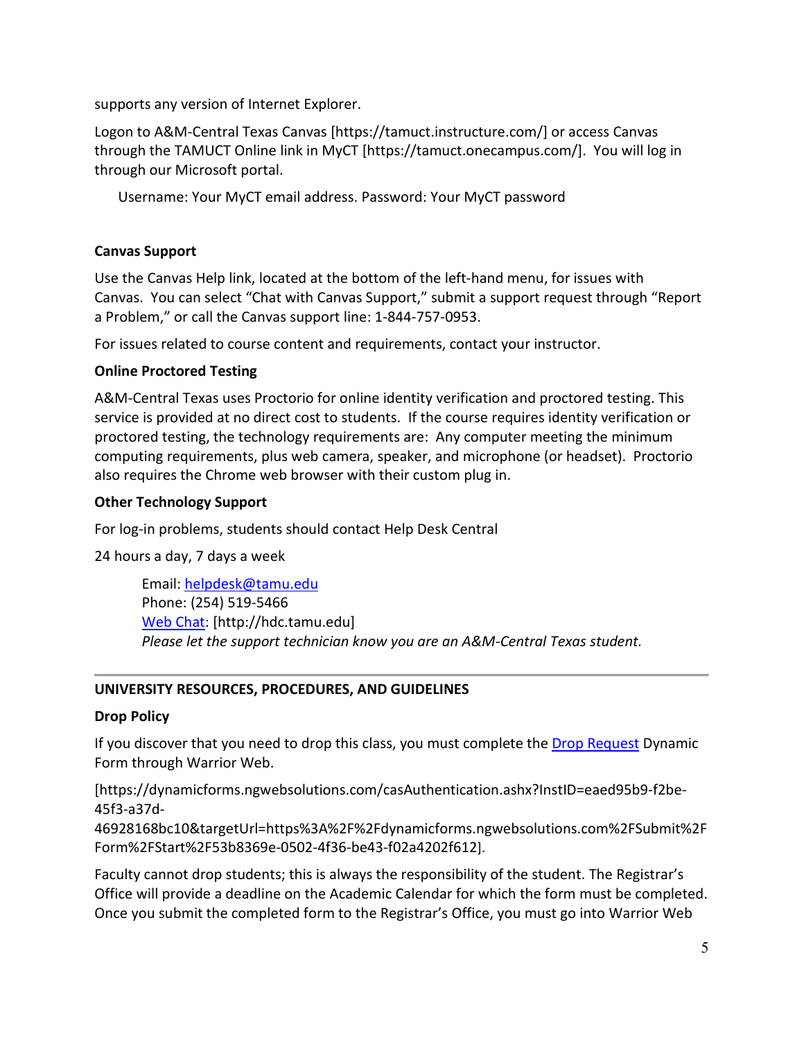supports any version of Internet Explorer.

Logon to A&M-Central Texas Canvas [https://tamuct.instructure.com/] or access Canvas through the TAMUCT Online link in MyCT [https://tamuct.onecampus.com/]. You will log in through our Microsoft portal.

Username: Your MyCT email address. Password: Your MyCT password

### **Canvas Support**

Use the Canvas Help link, located at the bottom of the left-hand menu, for issues with Canvas. You can select "Chat with Canvas Support," submit a support request through "Report a Problem," or call the Canvas support line: 1-844-757-0953.

For issues related to course content and requirements, contact your instructor.

## **Online Proctored Testing**

A&M-Central Texas uses Proctorio for online identity verification and proctored testing. This service is provided at no direct cost to students. If the course requires identity verification or proctored testing, the technology requirements are: Any computer meeting the minimum computing requirements, plus web camera, speaker, and microphone (or headset). Proctorio also requires the Chrome web browser with their custom plug in.

### **Other Technology Support**

For log-in problems, students should contact Help Desk Central

24 hours a day, 7 days a week

Email: [helpdesk@tamu.edu](mailto:helpdesk@tamu.edu) Phone: (254) 519-5466 [Web Chat:](http://hdc.tamu.edu/) [http://hdc.tamu.edu] *Please let the support technician know you are an A&M-Central Texas student.*

## **UNIVERSITY RESOURCES, PROCEDURES, AND GUIDELINES**

#### **Drop Policy**

If you discover that you need to drop this class, you must complete the [Drop Request](https://dynamicforms.ngwebsolutions.com/casAuthentication.ashx?InstID=eaed95b9-f2be-45f3-a37d-46928168bc10&targetUrl=https%3A%2F%2Fdynamicforms.ngwebsolutions.com%2FSubmit%2FForm%2FStart%2F53b8369e-0502-4f36-be43-f02a4202f612) Dynamic Form through Warrior Web.

[https://dynamicforms.ngwebsolutions.com/casAuthentication.ashx?InstID=eaed95b9-f2be-45f3-a37d-

46928168bc10&targetUrl=https%3A%2F%2Fdynamicforms.ngwebsolutions.com%2FSubmit%2F Form%2FStart%2F53b8369e-0502-4f36-be43-f02a4202f612].

Faculty cannot drop students; this is always the responsibility of the student. The Registrar's Office will provide a deadline on the Academic Calendar for which the form must be completed. Once you submit the completed form to the Registrar's Office, you must go into Warrior Web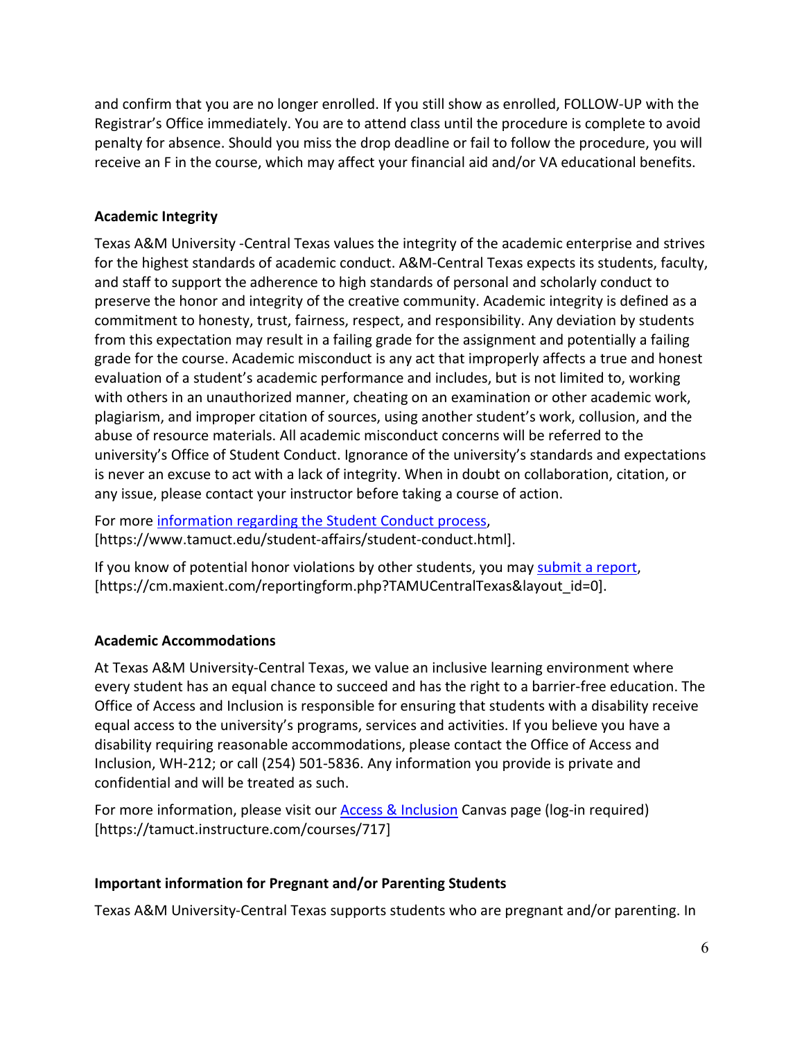and confirm that you are no longer enrolled. If you still show as enrolled, FOLLOW-UP with the Registrar's Office immediately. You are to attend class until the procedure is complete to avoid penalty for absence. Should you miss the drop deadline or fail to follow the procedure, you will receive an F in the course, which may affect your financial aid and/or VA educational benefits.

## **Academic Integrity**

Texas A&M University -Central Texas values the integrity of the academic enterprise and strives for the highest standards of academic conduct. A&M-Central Texas expects its students, faculty, and staff to support the adherence to high standards of personal and scholarly conduct to preserve the honor and integrity of the creative community. Academic integrity is defined as a commitment to honesty, trust, fairness, respect, and responsibility. Any deviation by students from this expectation may result in a failing grade for the assignment and potentially a failing grade for the course. Academic misconduct is any act that improperly affects a true and honest evaluation of a student's academic performance and includes, but is not limited to, working with others in an unauthorized manner, cheating on an examination or other academic work, plagiarism, and improper citation of sources, using another student's work, collusion, and the abuse of resource materials. All academic misconduct concerns will be referred to the university's Office of Student Conduct. Ignorance of the university's standards and expectations is never an excuse to act with a lack of integrity. When in doubt on collaboration, citation, or any issue, please contact your instructor before taking a course of action.

For more [information regarding the Student Conduct process,](https://www.tamuct.edu/student-affairs/student-conduct.html) [https://www.tamuct.edu/student-affairs/student-conduct.html].

If you know of potential honor violations by other students, you may [submit a report,](https://cm.maxient.com/reportingform.php?TAMUCentralTexas&layout_id=0) [https://cm.maxient.com/reportingform.php?TAMUCentralTexas&layout\_id=0].

## **Academic Accommodations**

At Texas A&M University-Central Texas, we value an inclusive learning environment where every student has an equal chance to succeed and has the right to a barrier-free education. The Office of Access and Inclusion is responsible for ensuring that students with a disability receive equal access to the university's programs, services and activities. If you believe you have a disability requiring reasonable accommodations, please contact the Office of Access and Inclusion, WH-212; or call (254) 501-5836. Any information you provide is private and confidential and will be treated as such.

For more information, please visit our [Access & Inclusion](https://tamuct.instructure.com/courses/717) Canvas page (log-in required) [https://tamuct.instructure.com/courses/717]

## **Important information for Pregnant and/or Parenting Students**

Texas A&M University-Central Texas supports students who are pregnant and/or parenting. In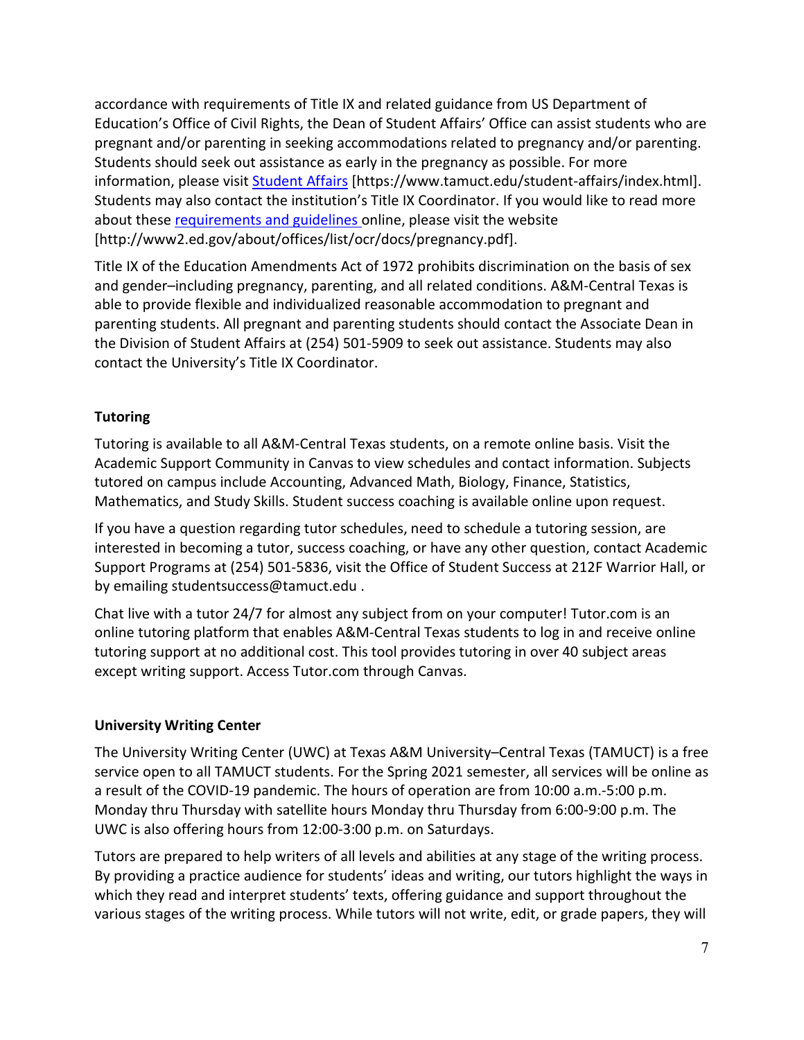accordance with requirements of Title IX and related guidance from US Department of Education's Office of Civil Rights, the Dean of Student Affairs' Office can assist students who are pregnant and/or parenting in seeking accommodations related to pregnancy and/or parenting. Students should seek out assistance as early in the pregnancy as possible. For more information, please visit [Student Affairs](https://www.tamuct.edu/student-affairs/index.html) [https://www.tamuct.edu/student-affairs/index.html]. Students may also contact the institution's Title IX Coordinator. If you would like to read more about these [requirements and guidelines](http://www2.ed.gov/about/offices/list/ocr/docs/pregnancy.pdf) online, please visit the website [http://www2.ed.gov/about/offices/list/ocr/docs/pregnancy.pdf].

Title IX of the Education Amendments Act of 1972 prohibits discrimination on the basis of sex and gender–including pregnancy, parenting, and all related conditions. A&M-Central Texas is able to provide flexible and individualized reasonable accommodation to pregnant and parenting students. All pregnant and parenting students should contact the Associate Dean in the Division of Student Affairs at (254) 501-5909 to seek out assistance. Students may also contact the University's Title IX Coordinator.

# **Tutoring**

Tutoring is available to all A&M-Central Texas students, on a remote online basis. Visit the Academic Support Community in Canvas to view schedules and contact information. Subjects tutored on campus include Accounting, Advanced Math, Biology, Finance, Statistics, Mathematics, and Study Skills. Student success coaching is available online upon request.

If you have a question regarding tutor schedules, need to schedule a tutoring session, are interested in becoming a tutor, success coaching, or have any other question, contact Academic Support Programs at (254) 501-5836, visit the Office of Student Success at 212F Warrior Hall, or by emailing studentsuccess@tamuct.edu .

Chat live with a tutor 24/7 for almost any subject from on your computer! Tutor.com is an online tutoring platform that enables A&M-Central Texas students to log in and receive online tutoring support at no additional cost. This tool provides tutoring in over 40 subject areas except writing support. Access Tutor.com through Canvas.

## **University Writing Center**

The University Writing Center (UWC) at Texas A&M University–Central Texas (TAMUCT) is a free service open to all TAMUCT students. For the Spring 2021 semester, all services will be online as a result of the COVID-19 pandemic. The hours of operation are from 10:00 a.m.-5:00 p.m. Monday thru Thursday with satellite hours Monday thru Thursday from 6:00-9:00 p.m. The UWC is also offering hours from 12:00-3:00 p.m. on Saturdays.

Tutors are prepared to help writers of all levels and abilities at any stage of the writing process. By providing a practice audience for students' ideas and writing, our tutors highlight the ways in which they read and interpret students' texts, offering guidance and support throughout the various stages of the writing process. While tutors will not write, edit, or grade papers, they will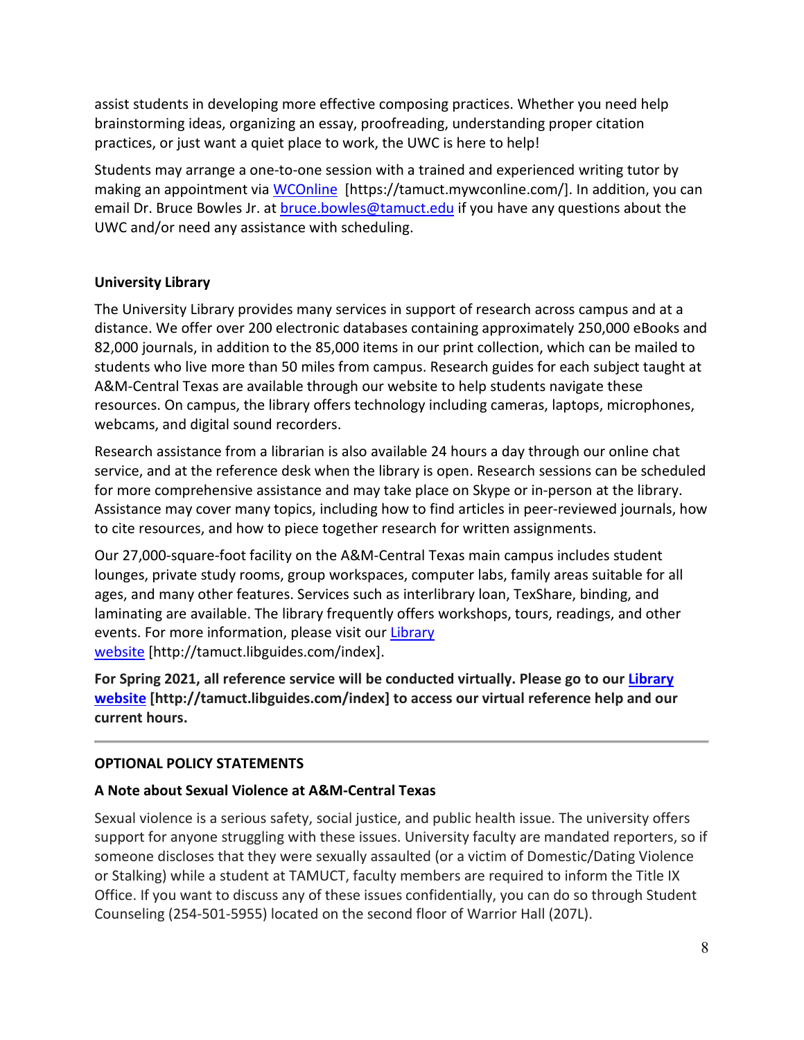assist students in developing more effective composing practices. Whether you need help brainstorming ideas, organizing an essay, proofreading, understanding proper citation practices, or just want a quiet place to work, the UWC is here to help!

Students may arrange a one-to-one session with a trained and experienced writing tutor by making an appointment via [WCOnline](https://tamuct.mywconline.com/) [https://tamuct.mywconline.com/]. In addition, you can email Dr. Bruce Bowles Jr. at **bruce.bowles@tamuct.edu** if you have any questions about the UWC and/or need any assistance with scheduling.

## **University Library**

The University Library provides many services in support of research across campus and at a distance. We offer over 200 electronic databases containing approximately 250,000 eBooks and 82,000 journals, in addition to the 85,000 items in our print collection, which can be mailed to students who live more than 50 miles from campus. Research guides for each subject taught at A&M-Central Texas are available through our website to help students navigate these resources. On campus, the library offers technology including cameras, laptops, microphones, webcams, and digital sound recorders.

Research assistance from a librarian is also available 24 hours a day through our online chat service, and at the reference desk when the library is open. Research sessions can be scheduled for more comprehensive assistance and may take place on Skype or in-person at the library. Assistance may cover many topics, including how to find articles in peer-reviewed journals, how to cite resources, and how to piece together research for written assignments.

Our 27,000-square-foot facility on the A&M-Central Texas main campus includes student lounges, private study rooms, group workspaces, computer labs, family areas suitable for all ages, and many other features. Services such as interlibrary loan, TexShare, binding, and laminating are available. The library frequently offers workshops, tours, readings, and other events. For more information, please visit our [Library](https://tamuct.libguides.com/index) [website](https://tamuct.libguides.com/index) [http://tamuct.libguides.com/index].

**For Spring 2021, all reference service will be conducted virtually. Please go to our [Library](https://nam04.safelinks.protection.outlook.com/?url=https%3A%2F%2Ftamuct.libguides.com%2Findex&data=04%7C01%7Clisa.bunkowski%40tamuct.edu%7C8242506d517f4275449608d87c521260%7C9eed4e3000f744849ff193ad8005acec%7C0%7C0%7C637396039225117111%7CUnknown%7CTWFpbGZsb3d8eyJWIjoiMC4wLjAwMDAiLCJQIjoiV2luMzIiLCJBTiI6Ik1haWwiLCJXVCI6Mn0%3D%7C1000&sdata=o3Ld7UKky5UoafnKDkA%2BCH9C50eLGHkiCfz7ajI2vRM%3D&reserved=0) [website](https://nam04.safelinks.protection.outlook.com/?url=https%3A%2F%2Ftamuct.libguides.com%2Findex&data=04%7C01%7Clisa.bunkowski%40tamuct.edu%7C8242506d517f4275449608d87c521260%7C9eed4e3000f744849ff193ad8005acec%7C0%7C0%7C637396039225117111%7CUnknown%7CTWFpbGZsb3d8eyJWIjoiMC4wLjAwMDAiLCJQIjoiV2luMzIiLCJBTiI6Ik1haWwiLCJXVCI6Mn0%3D%7C1000&sdata=o3Ld7UKky5UoafnKDkA%2BCH9C50eLGHkiCfz7ajI2vRM%3D&reserved=0) [http://tamuct.libguides.com/index] to access our virtual reference help and our current hours.**

# **OPTIONAL POLICY STATEMENTS**

# **A Note about Sexual Violence at A&M-Central Texas**

Sexual violence is a serious safety, social justice, and public health issue. The university offers support for anyone struggling with these issues. University faculty are mandated reporters, so if someone discloses that they were sexually assaulted (or a victim of Domestic/Dating Violence or Stalking) while a student at TAMUCT, faculty members are required to inform the Title IX Office. If you want to discuss any of these issues confidentially, you can do so through Student Counseling (254-501-5955) located on the second floor of Warrior Hall (207L).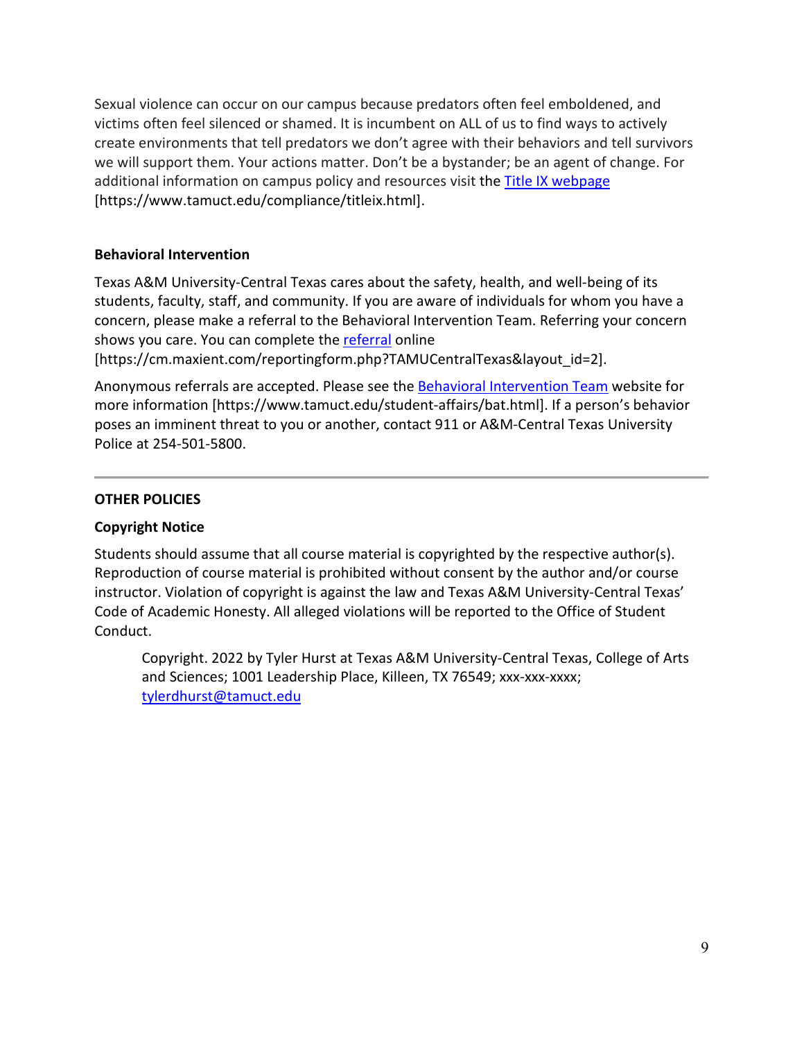Sexual violence can occur on our campus because predators often feel emboldened, and victims often feel silenced or shamed. It is incumbent on ALL of us to find ways to actively create environments that tell predators we don't agree with their behaviors and tell survivors we will support them. Your actions matter. Don't be a bystander; be an agent of change. For additional information on campus policy and resources visit the [Title IX webpage](https://www.tamuct.edu/compliance/titleix.html) [\[https://www.tamuct.edu/compliance/titleix.html\]](https://www.tamuct.edu/compliance/titleix.html).

### **Behavioral Intervention**

Texas A&M University-Central Texas cares about the safety, health, and well-being of its students, faculty, staff, and community. If you are aware of individuals for whom you have a concern, please make a referral to the Behavioral Intervention Team. Referring your concern shows you care. You can complete the [referral](https://cm.maxient.com/reportingform.php?TAMUCentralTexas&layout_id=2) online

[https://cm.maxient.com/reportingform.php?TAMUCentralTexas&layout\_id=2].

Anonymous referrals are accepted. Please see the [Behavioral Intervention Team](https://www.tamuct.edu/student-affairs/bat.html) website for more information [https://www.tamuct.edu/student-affairs/bat.html]. If a person's behavior poses an imminent threat to you or another, contact 911 or A&M-Central Texas University Police at 254-501-5800.

### **OTHER POLICIES**

## **Copyright Notice**

Students should assume that all course material is copyrighted by the respective author(s). Reproduction of course material is prohibited without consent by the author and/or course instructor. Violation of copyright is against the law and Texas A&M University-Central Texas' Code of Academic Honesty. All alleged violations will be reported to the Office of Student Conduct.

Copyright. 2022 by Tyler Hurst at Texas A&M University-Central Texas, College of Arts and Sciences; 1001 Leadership Place, Killeen, TX 76549; xxx-xxx-xxxx; [tylerdhurst@tamuct.edu](mailto:tylerdhurst@tamuct.edu)